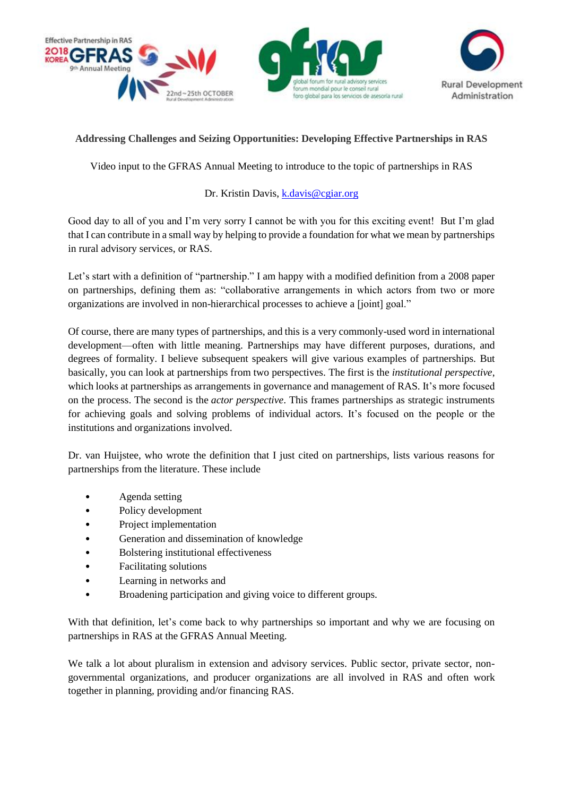



## **Addressing Challenges and Seizing Opportunities: Developing Effective Partnerships in RAS**

Video input to the GFRAS Annual Meeting to introduce to the topic of partnerships in RAS

## Dr. Kristin Davis, [k.davis@cgiar.org](mailto:k.davis@cgiar.org)

Good day to all of you and I'm very sorry I cannot be with you for this exciting event! But I'm glad that I can contribute in a small way by helping to provide a foundation for what we mean by partnerships in rural advisory services, or RAS.

Let's start with a definition of "partnership." I am happy with a modified definition from a 2008 paper on partnerships, defining them as: "collaborative arrangements in which actors from two or more organizations are involved in non-hierarchical processes to achieve a [joint] goal."

Of course, there are many types of partnerships, and this is a very commonly-used word in international development—often with little meaning. Partnerships may have different purposes, durations, and degrees of formality. I believe subsequent speakers will give various examples of partnerships. But basically, you can look at partnerships from two perspectives. The first is the *institutional perspective*, which looks at partnerships as arrangements in governance and management of RAS. It's more focused on the process. The second is the *actor perspective*. This frames partnerships as strategic instruments for achieving goals and solving problems of individual actors. It's focused on the people or the institutions and organizations involved.

Dr. van Huijstee, who wrote the definition that I just cited on partnerships, lists various reasons for partnerships from the literature. These include

- Agenda setting
- Policy development
- Project implementation
- Generation and dissemination of knowledge
- Bolstering institutional effectiveness
- Facilitating solutions
- Learning in networks and
- Broadening participation and giving voice to different groups.

With that definition, let's come back to why partnerships so important and why we are focusing on partnerships in RAS at the GFRAS Annual Meeting.

We talk a lot about pluralism in extension and advisory services. Public sector, private sector, nongovernmental organizations, and producer organizations are all involved in RAS and often work together in planning, providing and/or financing RAS.